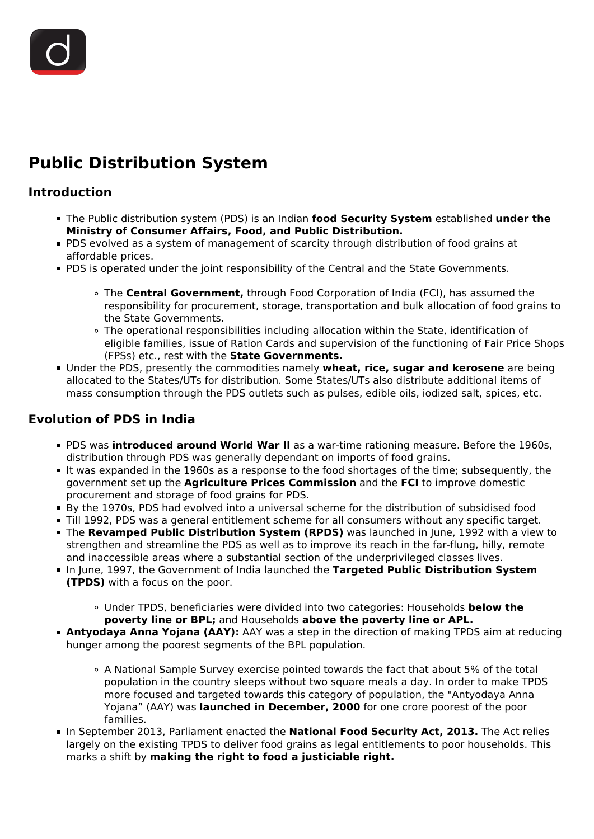# **Public Distribution System**

## **Introduction**

- The Public distribution system (PDS) is an Indian **food Security System** established **under the Ministry of Consumer Affairs, Food, and Public Distribution.**
- PDS evolved as a system of management of scarcity through distribution of food grains at affordable prices.
- **PDS** is operated under the joint responsibility of the Central and the State Governments.
	- The **Central Government,** through Food Corporation of India (FCI), has assumed the responsibility for procurement, storage, transportation and bulk allocation of food grains to the State Governments.
	- The operational responsibilities including allocation within the State, identification of eligible families, issue of Ration Cards and supervision of the functioning of Fair Price Shops (FPSs) etc., rest with the **State Governments.**
- Under the PDS, presently the commodities namely **wheat, rice, sugar and kerosene** are being allocated to the States/UTs for distribution. Some States/UTs also distribute additional items of mass consumption through the PDS outlets such as pulses, edible oils, iodized salt, spices, etc.

# **Evolution of PDS in India**

- PDS was **introduced around World War II** as a war-time rationing measure. Before the 1960s, distribution through PDS was generally dependant on imports of food grains.
- It was expanded in the 1960s as a response to the food shortages of the time; subsequently, the government set up the **Agriculture Prices Commission** and the **FCI** to improve domestic procurement and storage of food grains for PDS.
- By the 1970s, PDS had evolved into a universal scheme for the distribution of subsidised food
- Till 1992, PDS was a general entitlement scheme for all consumers without any specific target.
- The **Revamped Public Distribution System (RPDS)** was launched in June, 1992 with a view to strengthen and streamline the PDS as well as to improve its reach in the far-flung, hilly, remote and inaccessible areas where a substantial section of the underprivileged classes lives.
- In June, 1997, the Government of India launched the **Targeted Public Distribution System (TPDS)** with a focus on the poor.
	- Under TPDS, beneficiaries were divided into two categories: Households **below the poverty line or BPL;** and Households **above the poverty line or APL.**
- **Antyodaya Anna Yojana (AAY):** AAY was a step in the direction of making TPDS aim at reducing hunger among the poorest segments of the BPL population.
	- A National Sample Survey exercise pointed towards the fact that about 5% of the total population in the country sleeps without two square meals a day. In order to make TPDS more focused and targeted towards this category of population, the "Antyodaya Anna Yojana" (AAY) was **launched in December, 2000** for one crore poorest of the poor families.
- In September 2013, Parliament enacted the **National Food Security Act, 2013.** The Act relies largely on the existing TPDS to deliver food grains as legal entitlements to poor households. This marks a shift by **making the right to food a justiciable right.**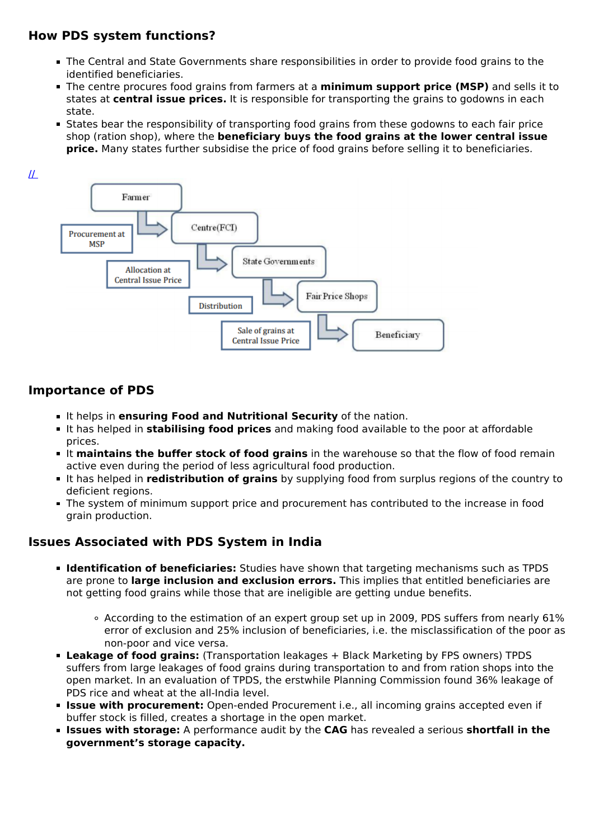## **How PDS system functions?**

- The Central and State Governments share responsibilities in order to provide food grains to the identified beneficiaries.
- The centre procures food grains from farmers at a **minimum support price (MSP)** and sells it to states at **central issue prices.** It is responsible for transporting the grains to godowns in each state.
- States bear the responsibility of transporting food grains from these godowns to each fair price shop (ration shop), where the **beneficiary buys the food grains at the lower central issue price.** Many states further subsidise the price of food grains before selling it to beneficiaries.



## **Importance of PDS**

- It helps in **ensuring Food and Nutritional Security** of the nation.
- It has helped in **stabilising food prices** and making food available to the poor at affordable prices.
- It **maintains the buffer stock of food grains** in the warehouse so that the flow of food remain active even during the period of less agricultural food production.
- It has helped in **redistribution of grains** by supplying food from surplus regions of the country to deficient regions.
- The system of minimum support price and procurement has contributed to the increase in food grain production.

## **Issues Associated with PDS System in India**

- **Identification of beneficiaries:** Studies have shown that targeting mechanisms such as TPDS are prone to **large inclusion and exclusion errors.** This implies that entitled beneficiaries are not getting food grains while those that are ineligible are getting undue benefits.
	- According to the estimation of an expert group set up in 2009, PDS suffers from nearly 61% error of exclusion and 25% inclusion of beneficiaries, i.e. the misclassification of the poor as non-poor and vice versa.
- **Leakage of food grains:** (Transportation leakages + Black Marketing by FPS owners) TPDS suffers from large leakages of food grains during transportation to and from ration shops into the open market. In an evaluation of TPDS, the erstwhile Planning Commission found 36% leakage of PDS rice and wheat at the all-India level.
- **Issue with procurement:** Open-ended Procurement i.e., all incoming grains accepted even if buffer stock is filled, creates a shortage in the open market.
- **Issues with storage:** A performance audit by the **CAG** has revealed a serious **shortfall in the government's storage capacity.**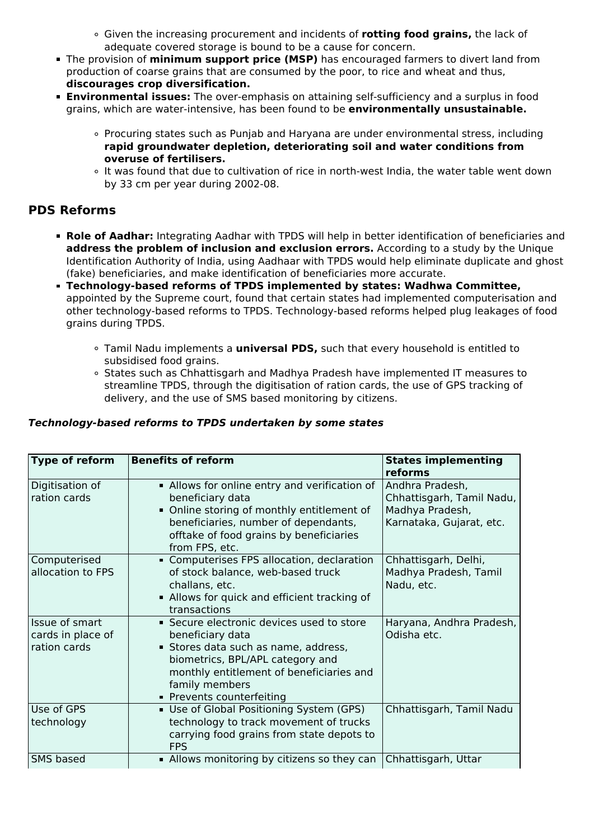- Given the increasing procurement and incidents of **rotting food grains,** the lack of adequate covered storage is bound to be a cause for concern.
- The provision of **minimum support price (MSP)** has encouraged farmers to divert land from production of coarse grains that are consumed by the poor, to rice and wheat and thus, **discourages crop diversification.**
- **Environmental issues:** The over-emphasis on attaining self-sufficiency and a surplus in food grains, which are water-intensive, has been found to be **environmentally unsustainable.**
	- Procuring states such as Punjab and Haryana are under environmental stress, including **rapid groundwater depletion, deteriorating soil and water conditions from overuse of fertilisers.**
	- o It was found that due to cultivation of rice in north-west India, the water table went down by 33 cm per year during 2002-08.

## **PDS Reforms**

- **Role of Aadhar:** Integrating Aadhar with TPDS will help in better identification of beneficiaries and **address the problem of inclusion and exclusion errors.** According to a study by the Unique Identification Authority of India, using Aadhaar with TPDS would help eliminate duplicate and ghost (fake) beneficiaries, and make identification of beneficiaries more accurate.
- **Technology-based reforms of TPDS implemented by states: Wadhwa Committee,** appointed by the Supreme court, found that certain states had implemented computerisation and other technology-based reforms to TPDS. Technology-based reforms helped plug leakages of food grains during TPDS.
	- Tamil Nadu implements a **universal PDS,** such that every household is entitled to subsidised food grains.
	- o States such as Chhattisgarh and Madhya Pradesh have implemented IT measures to streamline TPDS, through the digitisation of ration cards, the use of GPS tracking of delivery, and the use of SMS based monitoring by citizens.

#### *Technology-based reforms to TPDS undertaken by some states*

| Type of reform                                      | <b>Benefits of reform</b>                                                                                                                                                                                                          | <b>States implementing</b><br>reforms                                                       |
|-----------------------------------------------------|------------------------------------------------------------------------------------------------------------------------------------------------------------------------------------------------------------------------------------|---------------------------------------------------------------------------------------------|
| Digitisation of<br>ration cards                     | • Allows for online entry and verification of<br>beneficiary data<br>• Online storing of monthly entitlement of<br>beneficiaries, number of dependants,<br>offtake of food grains by beneficiaries<br>from FPS, etc.               | Andhra Pradesh,<br>Chhattisgarh, Tamil Nadu,<br>Madhya Pradesh,<br>Karnataka, Gujarat, etc. |
| Computerised<br>allocation to FPS                   | • Computerises FPS allocation, declaration<br>of stock balance, web-based truck<br>challans, etc.<br>• Allows for quick and efficient tracking of<br>transactions                                                                  | Chhattisgarh, Delhi,<br>Madhya Pradesh, Tamil<br>Nadu, etc.                                 |
| Issue of smart<br>cards in place of<br>ration cards | • Secure electronic devices used to store<br>beneficiary data<br>Stores data such as name, address,<br>biometrics, BPL/APL category and<br>monthly entitlement of beneficiaries and<br>family members<br>■ Prevents counterfeiting | Haryana, Andhra Pradesh,<br>Odisha etc.                                                     |
| Use of GPS<br>technology                            | Use of Global Positioning System (GPS)<br>technology to track movement of trucks<br>carrying food grains from state depots to<br><b>FPS</b>                                                                                        | Chhattisgarh, Tamil Nadu                                                                    |
| <b>SMS based</b>                                    | • Allows monitoring by citizens so they can                                                                                                                                                                                        | Chhattisgarh, Uttar                                                                         |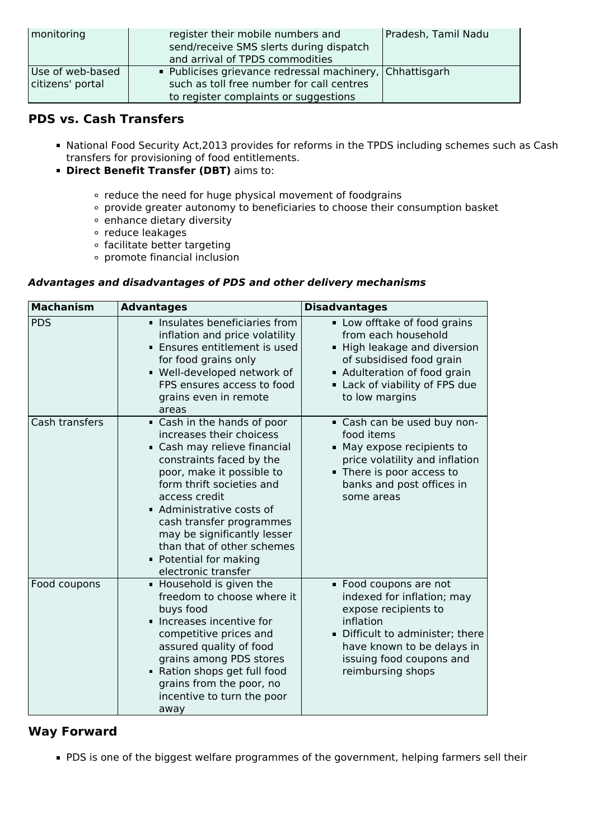| monitoring                           | register their mobile numbers and<br>send/receive SMS slerts during dispatch<br>and arrival of TPDS commodities                                | Pradesh, Tamil Nadu |
|--------------------------------------|------------------------------------------------------------------------------------------------------------------------------------------------|---------------------|
| Use of web-based<br>citizens' portal | • Publicises grievance redressal machinery, Chhattisgarh<br>such as toll free number for call centres<br>to register complaints or suggestions |                     |

## **PDS vs. Cash Transfers**

- National Food Security Act,2013 provides for reforms in the TPDS including schemes such as Cash transfers for provisioning of food entitlements.
- **Direct Benefit Transfer (DBT)** aims to:
	- reduce the need for huge physical movement of foodgrains
	- provide greater autonomy to beneficiaries to choose their consumption basket
	- enhance dietary diversity
	- reduce leakages
	- o facilitate better targeting
	- promote financial inclusion

#### *Advantages and disadvantages of PDS and other delivery mechanisms*

| <b>Machanism</b> | <b>Advantages</b>                                                                                                                                                                                                                                                                                                                                                 | <b>Disadvantages</b>                                                                                                                                                                                       |
|------------------|-------------------------------------------------------------------------------------------------------------------------------------------------------------------------------------------------------------------------------------------------------------------------------------------------------------------------------------------------------------------|------------------------------------------------------------------------------------------------------------------------------------------------------------------------------------------------------------|
| <b>PDS</b>       | Insulates beneficiaries from<br>inflation and price volatility<br><b>Ensures entitlement is used</b><br>for food grains only<br>- Well-developed network of<br>FPS ensures access to food<br>grains even in remote<br>areas                                                                                                                                       | • Low offtake of food grains<br>from each household<br>High leakage and diversion<br>of subsidised food grain<br>Adulteration of food grain<br>Lack of viability of FPS due<br>to low margins              |
| Cash transfers   | Cash in the hands of poor<br>increases their choicess<br>Cash may relieve financial<br>constraints faced by the<br>poor, make it possible to<br>form thrift societies and<br>access credit<br>• Administrative costs of<br>cash transfer programmes<br>may be significantly lesser<br>than that of other schemes<br>• Potential for making<br>electronic transfer | Cash can be used buy non-<br>food items<br>• May expose recipients to<br>price volatility and inflation<br>There is poor access to<br>banks and post offices in<br>some areas                              |
| Food coupons     | • Household is given the<br>freedom to choose where it<br>buys food<br>Increases incentive for<br>competitive prices and<br>assured quality of food<br>grains among PDS stores<br>Ration shops get full food<br>grains from the poor, no<br>incentive to turn the poor<br>away                                                                                    | • Food coupons are not<br>indexed for inflation; may<br>expose recipients to<br>inflation<br>Difficult to administer; there<br>have known to be delays in<br>issuing food coupons and<br>reimbursing shops |

## **Way Forward**

**PDS** is one of the biggest welfare programmes of the government, helping farmers sell their